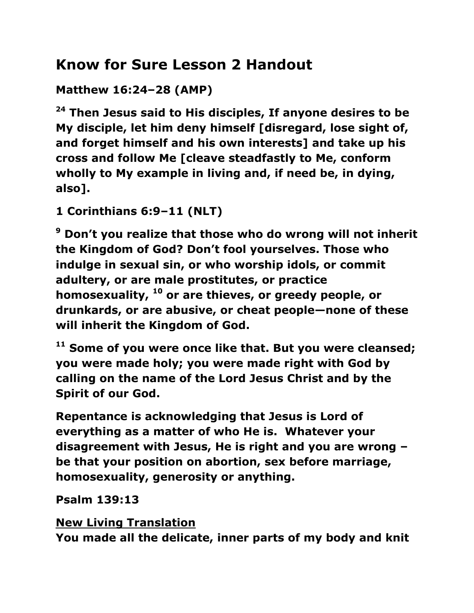# **Know for Sure Lesson 2 Handout**

**Matthew 16:24–28 (AMP)** 

**<sup>24</sup> Then Jesus said to His disciples, If anyone desires to be My disciple, let him deny himself [disregard, lose sight of, and forget himself and his own interests] and take up his cross and follow Me [cleave steadfastly to Me, conform wholly to My example in living and, if need be, in dying, also].** 

**1 Corinthians 6:9–11 (NLT)** 

**<sup>9</sup> Don't you realize that those who do wrong will not inherit the Kingdom of God? Don't fool yourselves. Those who indulge in sexual sin, or who worship idols, or commit adultery, or are male prostitutes, or practice homosexuality, <sup>10</sup> or are thieves, or greedy people, or drunkards, or are abusive, or cheat people—none of these will inherit the Kingdom of God.** 

**<sup>11</sup> Some of you were once like that. But you were cleansed; you were made holy; you were made right with God by calling on the name of the Lord Jesus Christ and by the Spirit of our God.**

**Repentance is acknowledging that Jesus is Lord of everything as a matter of who He is. Whatever your disagreement with Jesus, He is right and you are wrong – be that your position on abortion, sex before marriage, homosexuality, generosity or anything.**

**Psalm 139:13**

**[New Living Translation](http://biblehub.com/nlt/psalms/139.htm) You made all the delicate, inner parts of my body and knit**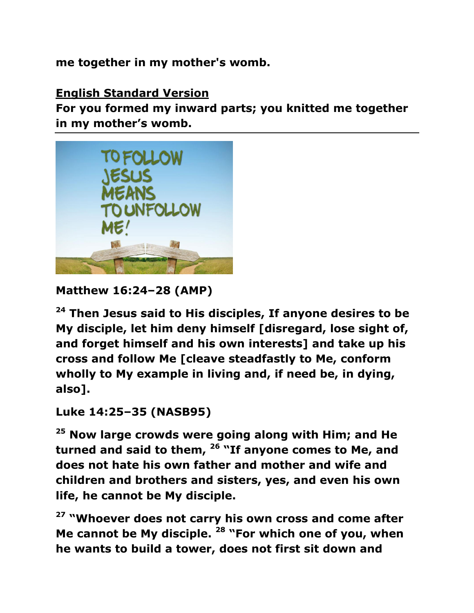**me together in my mother's womb.**

#### **[English Standard Version](http://biblehub.com/esv/psalms/139.htm)**

**For you formed my inward parts; you knitted me together in my mother's womb.**



```
Matthew 16:24–28 (AMP)
```
**<sup>24</sup> Then Jesus said to His disciples, If anyone desires to be My disciple, let him deny himself [disregard, lose sight of, and forget himself and his own interests] and take up his cross and follow Me [cleave steadfastly to Me, conform wholly to My example in living and, if need be, in dying, also].** 

**Luke 14:25–35 (NASB95)** 

**<sup>25</sup> Now large crowds were going along with Him; and He turned and said to them, <sup>26</sup> "If anyone comes to Me, and does not hate his own father and mother and wife and children and brothers and sisters, yes, and even his own life, he cannot be My disciple.** 

**<sup>27</sup> "Whoever does not carry his own cross and come after Me cannot be My disciple. <sup>28</sup> "For which one of you, when he wants to build a tower, does not first sit down and**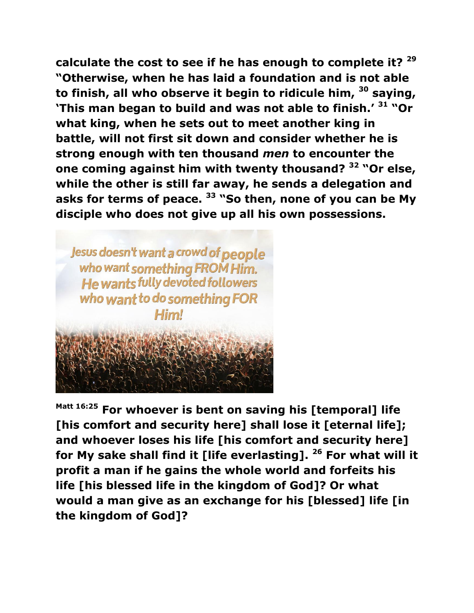**calculate the cost to see if he has enough to complete it? <sup>29</sup> "Otherwise, when he has laid a foundation and is not able to finish, all who observe it begin to ridicule him, <sup>30</sup> saying, 'This man began to build and was not able to finish.' <sup>31</sup> "Or what king, when he sets out to meet another king in battle, will not first sit down and consider whether he is strong enough with ten thousand** *men* **to encounter the one coming against him with twenty thousand? <sup>32</sup> "Or else, while the other is still far away, he sends a delegation and asks for terms of peace. <sup>33</sup> "So then, none of you can be My disciple who does not give up all his own possessions.** 

Jesus doesn't want a crowd of people who want something FROM Him. **He wants fully devoted followers** who want to do something FOR Himl

**Matt 16:25 For whoever is bent on saving his [temporal] life [his comfort and security here] shall lose it [eternal life]; and whoever loses his life [his comfort and security here] for My sake shall find it [life everlasting]. <sup>26</sup> For what will it profit a man if he gains the whole world and forfeits his life [his blessed life in the kingdom of God]? Or what would a man give as an exchange for his [blessed] life [in the kingdom of God]?**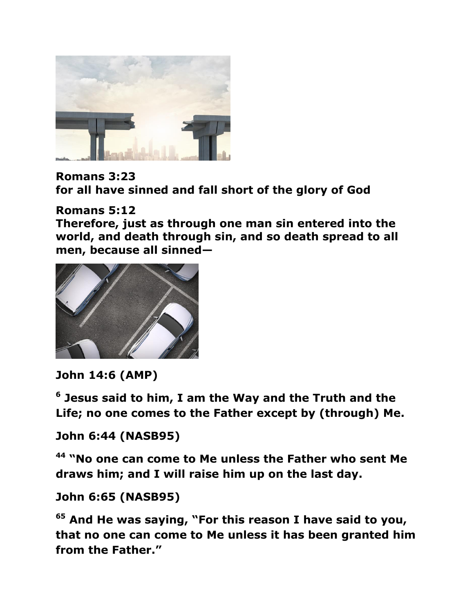

**Romans 3:23 for all have sinned and fall short of the glory of God**

#### **Romans 5:12**

**Therefore, just as through one man sin entered into the world, and death through sin, and so death spread to all men, because all sinned—**



### **John 14:6 (AMP)**

**6 Jesus said to him, I am the Way and the Truth and the Life; no one comes to the Father except by (through) Me.** 

#### **John 6:44 (NASB95)**

**<sup>44</sup> "No one can come to Me unless the Father who sent Me draws him; and I will raise him up on the last day.** 

#### **John 6:65 (NASB95)**

**<sup>65</sup> And He was saying, "For this reason I have said to you, that no one can come to Me unless it has been granted him from the Father."**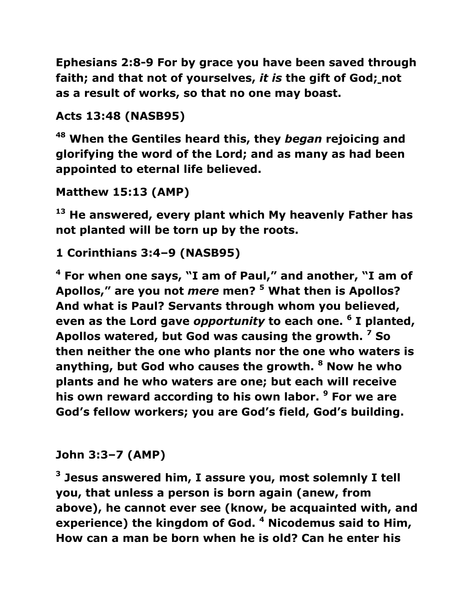**Ephesians 2:8-9 For by grace you have been saved through faith; and that not of yourselves,** *it is* **the gift of God; not as a result of works, so that no one may boast.**

**Acts 13:48 (NASB95)** 

**<sup>48</sup> When the Gentiles heard this, they** *began* **rejoicing and glorifying the word of the Lord; and as many as had been appointed to eternal life believed.** 

```
Matthew 15:13 (AMP)
```
**<sup>13</sup> He answered, every plant which My heavenly Father has not planted will be torn up by the roots.** 

**1 Corinthians 3:4–9 (NASB95)** 

**<sup>4</sup> For when one says, "I am of Paul," and another, "I am of Apollos," are you not** *mere* **men? <sup>5</sup> What then is Apollos? And what is Paul? Servants through whom you believed, even as the Lord gave** *opportunity* **to each one. <sup>6</sup> I planted, Apollos watered, but God was causing the growth. <sup>7</sup> So then neither the one who plants nor the one who waters is anything, but God who causes the growth. <sup>8</sup> Now he who plants and he who waters are one; but each will receive his own reward according to his own labor. <sup>9</sup> For we are God's fellow workers; you are God's field, God's building.** 

**John 3:3–7 (AMP)** 

**3 Jesus answered him, I assure you, most solemnly I tell you, that unless a person is born again (anew, from above), he cannot ever see (know, be acquainted with, and experience) the kingdom of God. <sup>4</sup> Nicodemus said to Him, How can a man be born when he is old? Can he enter his**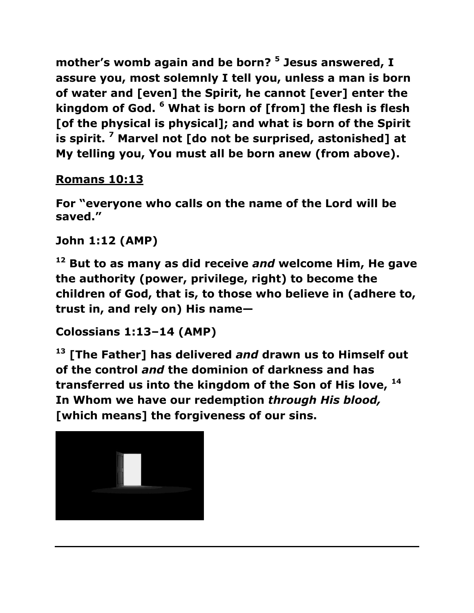**mother's womb again and be born? <sup>5</sup> Jesus answered, I assure you, most solemnly I tell you, unless a man is born of water and [even] the Spirit, he cannot [ever] enter the kingdom of God. <sup>6</sup> What is born of [from] the flesh is flesh [of the physical is physical]; and what is born of the Spirit is spirit. <sup>7</sup> Marvel not [do not be surprised, astonished] at My telling you, You must all be born anew (from above).** 

# **[Romans 10:13](https://www.biblegateway.com/passage/?search=Romans+10%3A13&version=ESV)**

**For "everyone who calls on the name of the Lord will be saved."** 

## **John 1:12 (AMP)**

**<sup>12</sup> But to as many as did receive** *and* **welcome Him, He gave the authority (power, privilege, right) to become the children of God, that is, to those who believe in (adhere to, trust in, and rely on) His name—**

**Colossians 1:13–14 (AMP)** 

**<sup>13</sup> [The Father] has delivered** *and* **drawn us to Himself out of the control** *and* **the dominion of darkness and has transferred us into the kingdom of the Son of His love, <sup>14</sup> In Whom we have our redemption** *through His blood,* **[which means] the forgiveness of our sins.**